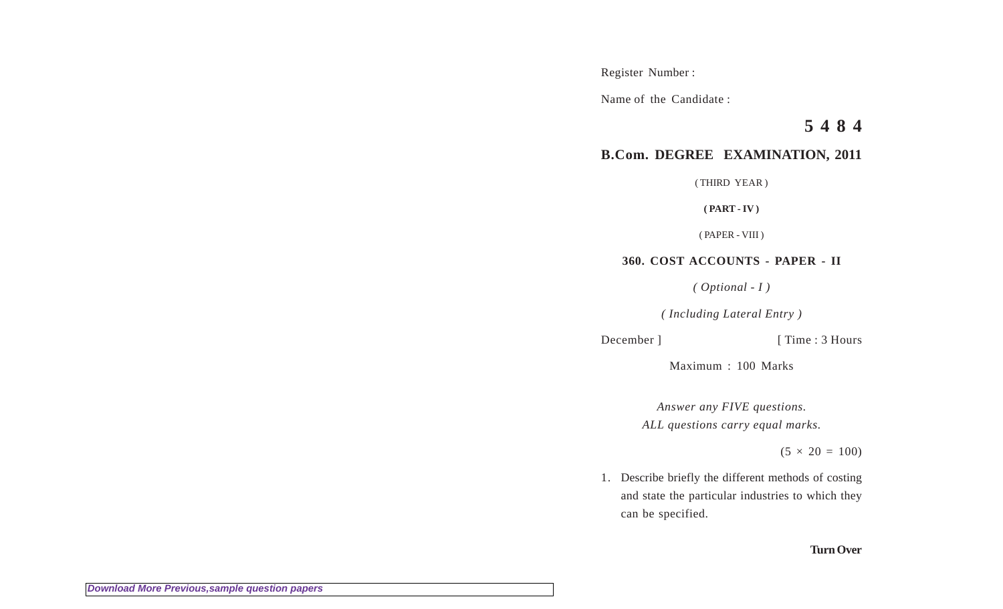Register Number :

Name of the Candidate :

**5 4 8 4**

# **B.Com. DEGREE EXAMINATION, 2011**

( THIRD YEAR )

**( PART - IV )**

( PAPER - VIII )

# **360. COST ACCOUNTS - PAPER - II**

*( Optional - I )*

*( Including Lateral Entry )*

December ] [ Time : 3 Hours

Maximum : 100 Marks

*Answer any FIVE questions. ALL questions carry equal marks.*

 $(5 \times 20 = 100)$ 

1. Describe briefly the different methods of costing and state the particular industries to which they can be specified.

### **Turn Over**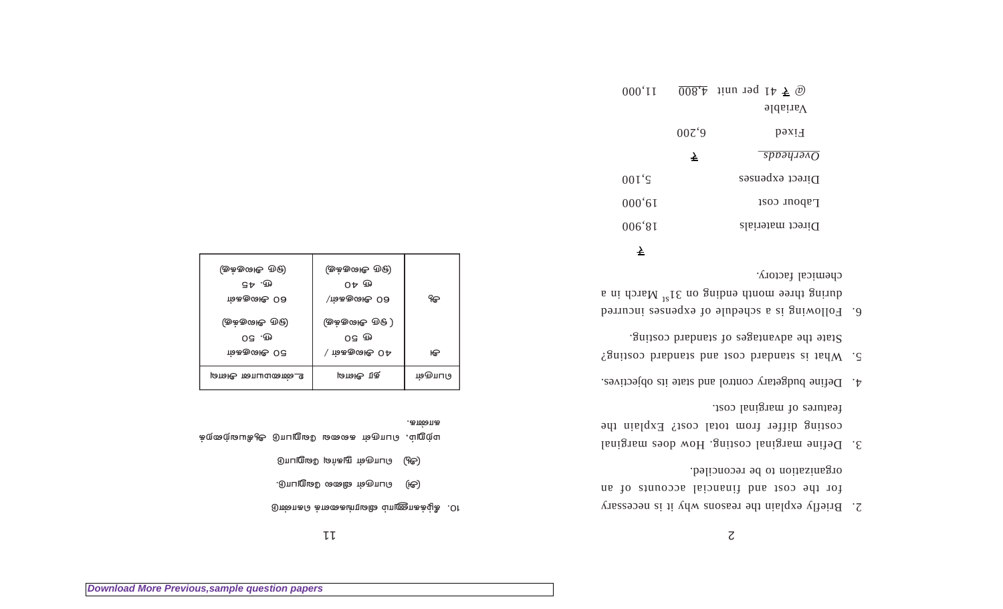11 2

#### $\partial$ ஸ்லாக $\partial$  க் $\partial$ கைக்டிரம் $\partial \Omega$  வ் $\partial \Omega$ க்க்ழ்க்  $.$  Or

.கண்க

- $\Theta$ ் லொருள் விலை வேறுபாடு.
- (அ்) ∂பாருள் நுகர்வு வேறுபாடு

மற்றும், **பொருள் கலவை வேறுபாடு ஆ**கியவற்றைக்

| (ஒக்குஷை ரூ<br>09 FD |       |
|----------------------|-------|
| ∖ ம்ககுශι⊕ 0 ∆       | ѥ     |
| தூ அயன்              | மையடு |
|                      |       |

 $\dot m$ കയ്യേ $\theta$  00  $\dot m$   $\dot m$ കയ്യേ $\theta$  00  $\dot m$ 

 $\mathbb{G} \downarrow 0$   $\mathbb{G} \downarrow 0$   $\mathbb{G} \downarrow 0$   $\mathbb{G} \downarrow 0$  $\left( \oplus \Phi \oplus \Phi \oplus \Phi \right) \qquad \left( \oplus \Phi \oplus \Phi \oplus \Phi \right)$ 

- 2. Briefly explain the reasons why it is necessary for the cost and financial accounts of an organization to be reconciled.
- 3. Define marginal costing. How does marginal costing differ from total cost? Explain the features of marginal cost.
- 4. Define budgetary control and state its objectives.
- 5. What is standard cost and standard costing? Statisco brahages of standard costing.
- 6. Following is a schedule of expenses incurred during three month ending on  $31_{\text{B}}$  March in a chemical factory.

| $000'$ II    |                  | $\overline{008.4}$ iinu ind 14.500<br>$\Delta$ ariable |
|--------------|------------------|--------------------------------------------------------|
|              | 00Z <sup>2</sup> | PaxiH                                                  |
|              | ₹                | $s$ <i>ppəyaə</i> $\alpha$ <i>Q</i>                    |
| $001\degree$ |                  | Direct expenses                                        |
| 000'61       |                  | Pabour cost                                            |
| 006's1       |                  | Direct materials                                       |
|              |                  |                                                        |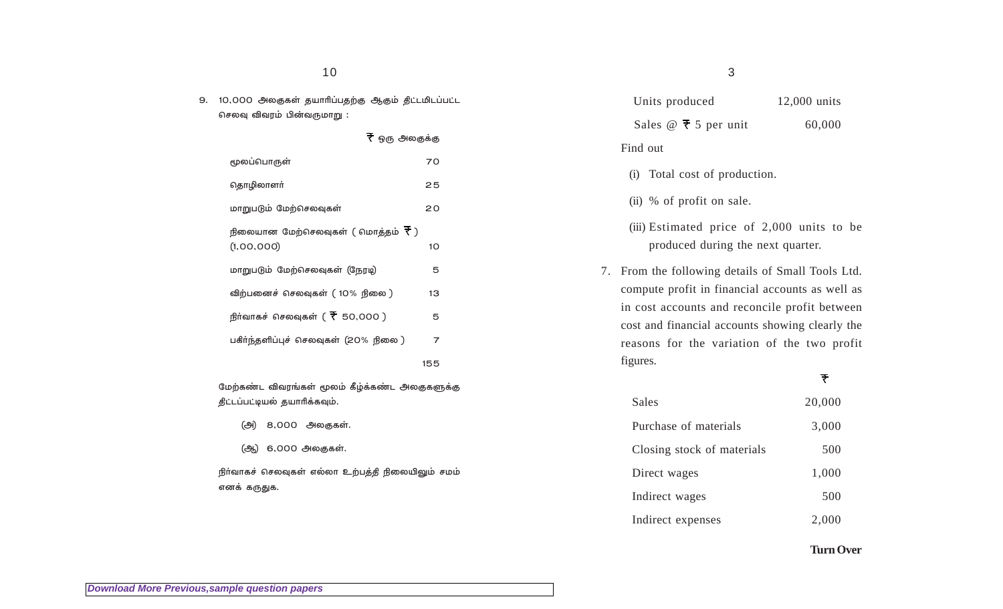## 10

9. 10,000 அலகுகள் தயாரிப்பதற்கு ஆகும் திட்டமிடப்பட்ட செலவு விவரம் பின்வருமாறு $\:$ :

| $\overline{\mathcal{F}}$ ஒரு அலகுக்கு                 |     |
|-------------------------------------------------------|-----|
| மூலப்பொருள்                                           | 70  |
| தொழிலாளர்                                             | 25  |
| மாறுபடும் மேற்செலவுகள்                                | 20  |
| நிலையான மேற்செலவுகள் ( மொத்தம் ₹ )                    |     |
| (1,00,000)                                            | 10  |
| மாறுபடும் மேற்செலவுகள் (நேரடி)                        | 5   |
| விற்பனைச் செலவுகள் ( 10% நிலை )                       | 13  |
| நீர்வாகச் செலவுகள் ( $\overline{\mathcal{R}}$ 50,000) | 5   |
| பகீா்ந்தளிப்புச் செலவுகள் (20% நிலை )                 | 7   |
|                                                       | 155 |

மேற்கண்ட விவரங்கள் மூலம் கீழ்க்கண்ட அலகுகளுக்கு திட்டப்பட்டியல் தயாரிக்கவும்.

- (அ) 8,000 அலகுகள்.
- (ஆ) 6,000 அலகுகள்.

நிா்வாகச் செலவுகள் எல்லா உற்பத்தி நிலையிலும் சமம் எனக் கருதுக.

| Sales $@ \t{7} 5$ per unit                                                                                                                                                                                                                                          | 60,000 |
|---------------------------------------------------------------------------------------------------------------------------------------------------------------------------------------------------------------------------------------------------------------------|--------|
| Find out                                                                                                                                                                                                                                                            |        |
| (i) Total cost of production.                                                                                                                                                                                                                                       |        |
| (ii) % of profit on sale.                                                                                                                                                                                                                                           |        |
| (iii) Estimated price of 2,000 units to be<br>produced during the next quarter.                                                                                                                                                                                     |        |
| 7. From the following details of Small Tools Ltd.<br>compute profit in financial accounts as well as<br>in cost accounts and reconcile profit between<br>cost and financial accounts showing clearly the<br>reasons for the variation of the two profit<br>figures. |        |
|                                                                                                                                                                                                                                                                     |        |

Units produced 12,000 units

3

# $\overline{\tau}$

| Sales                      | 20,000 |
|----------------------------|--------|
| Purchase of materials      | 3,000  |
| Closing stock of materials | 500    |
| Direct wages               | 1,000  |
| Indirect wages             | 500    |
| Indirect expenses          | 2,000  |

**Turn Over**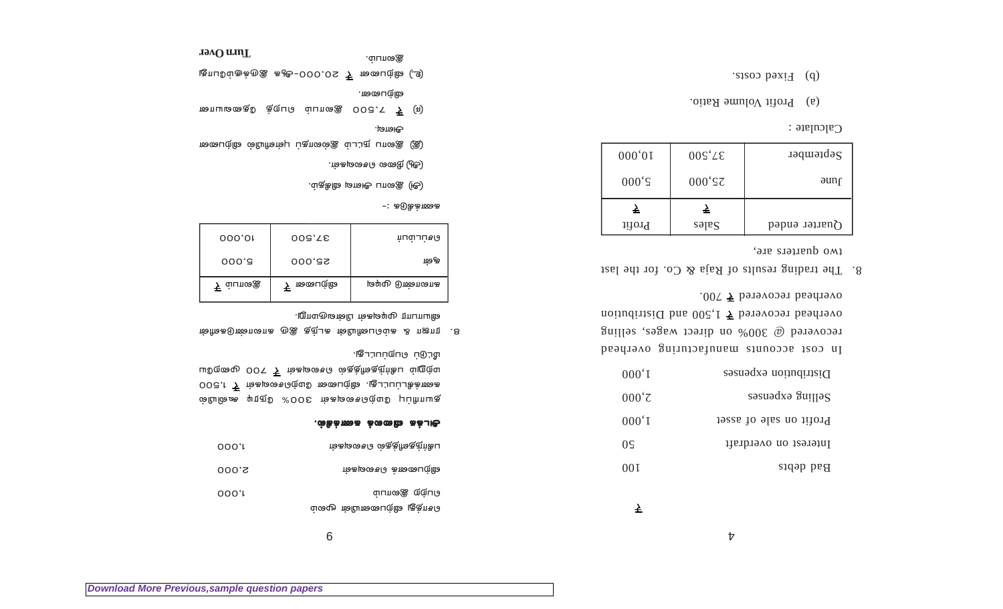| 09  | ம்கடிசை வெக்குள்கள்                      | 000.I |
|-----|------------------------------------------|-------|
| 001 | மிற்பனைக் செவைகள்                        | 000,S |
| ᆇ   | வ்பாதை இல்பப<br>சொத்து விற்பனையின் மூலம் | 000.I |

#### ⊙© Dieco a ⊕oo coone âel. ∂

*ஞ்*யோரிப்பு இடு & OOS ந்தைவில் ஒரும் கூ*லியில்* 5003 ,t テ m்கடிலைவ் மேற்செலவுகள் テ 1,500  $100 \pm 200$  பேஜின்  $\bar{\mathcal{F}}$  ம்கடிசை  $\delta$  ஒகுத்ரிக்கும் ம்றூற்ப \*'|© ÿ√≈©√'¶m.

1ல் நிலை பெண்பின் கட்டத் தெரு கட்டியின் & nஜ ng .8  $\cdot$ றுயாபார முடிவுகள் பின்வருமாறு.

9

| 000,01                | 003,75   | ர்பய்பப்சடு      |
|-----------------------|----------|------------------|
| 000, 3                | 000, 82  | फ़ ला            |
| <del>ட</del> ு வ்பாශ⊛ | ₹ மையை@் | டிடியுடு மும்வாக |

−: கடுகிக்πை க

- $\epsilon$ ்டு)  $\mathcal C$ லாப அயலு விகிதம்.
- .map.oa வசலவு (<u>சூ)</u>
- ை ைசைப் நட்டம் இல்லாதப் புள்ளியில் விற்பனை
- ∂·°.
- πையமகைஉ® க்றுப் வ்பாகஇ 003. ு ₹ (ஈ)
- .ഞപേന്**ര**

.g⊔nශ⊛

 $\mathbb{R}$  மூற்பலைன்  $\bar{\mathcal{F}}$  20,000-ஆக இருக்கும்போது

**Turn Over**

| Distribution expenses   | 000,1         |
|-------------------------|---------------|
| Selling expenses        | $000^{\circ}$ |
| Profit on sale of asset | 000,1         |
| lnterest on overdraft   | $0\varsigma$  |
| Bad debts               | 00 I          |
|                         |               |

In cost accounts manufacturing overhead recovered @ 300% on direct wages, selling noitudintid but  $\overline{5}$  1,500 and Distribution overhead recovered  $\overline{7}$  700.

8. The trading results of Raja & Co. for the last two quarters are,

| 000,01          | $005^{\circ}$ LE | $2$ ebtemper          |
|-----------------|------------------|-----------------------|
| $000 \text{°S}$ | $000^{\circ}$ SZ | əunr                  |
| ÷.              | è.               |                       |
| Profit          | səlas            | $\Omega$ uarter ended |

 $C$ alculate :

- (a) Profit Volume Ratio.
- (b) Fixed costs.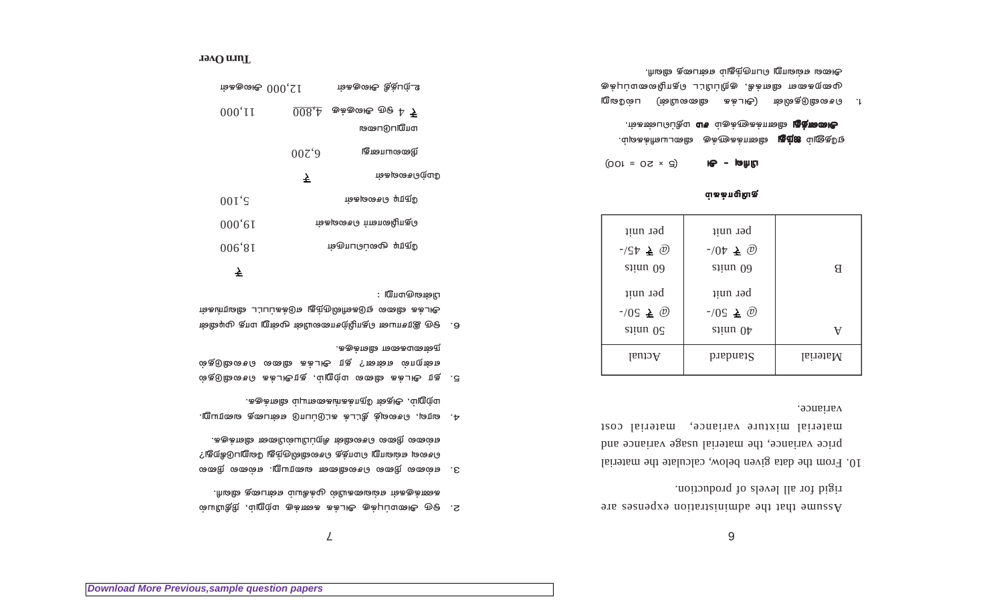moitous and levels of production. Assume that the administration expenses are

9

variance. material mixture variance, material cost price variance, the material usage variance and 10. From the data given below, calculate the material

| per unit                           | per unit                          |          |
|------------------------------------|-----------------------------------|----------|
| $-55\pm 0$<br>siinu 0 <sub>0</sub> | $-10\nu \triangleq 0$<br>siinu 09 | Я        |
| per unit                           | per unit                          |          |
| $-10S \triangleq \omega$           | $-10S \triangleq 0$               |          |
| $s$ inu $0\zeta$                   | siinu $0\uparrow$                 | v        |
| Actual                             | $p$ tandard                       | Material |

#### வ்கக்பழுமிகு

 $(5 \times 20 = 100)$ பியுவு - அ

அ**லைக்து** வினாக்களுக்கும் **சம** மதிப்பெண்கள். ஏதேனும் **ஐந்து** வினாக்களுக்கு விடையளிக்கவும்.

அனை எவ்வாறு பொருந்தும் என்பதை விவரி. முறைகளை விளக்கி, குறிப்பிட்ட தொழிலமைப்புக்கு 1. பெசலைவிடுதலின் (அடக்க விலையின்) பல்வேறு

 $\mathcal L$ 

- .ரிமிக் தன்படைக்கும் முக்கியம் என்பதை விவரி. மையியத்து , ப்றுற்ப குக்கைக் கைக்கு மற்றும், நிதியியல்
- .ககுக்ாவி மையின்பிப்புரி ம்வின்கி குரைவின் வ செல்ல எவ்வாறு மொத்த செலவுலுமுந்து லேறுபடுகிறது? 3. எல்லை நிலை செலவினை வரையறு. எல்லை நிலை
- .ககுக்றடி ப்புராகையாகக்ரும் ஸ்குடூ ,ப்றுற்ப 4. வரவு, செலவுத் தீட்டக் கட்டுப்பாடு என்பதை வரையறு.
- .ககுக்πவி மலைக்குக். என்றால் என்ன? தர அடக்க விலை செலவிடுதல் 5. தர அடக்க விலை மற்றும், தரஅடக்க செலவிடுதல்
- பின்வருமாறு : அடக்க விலை ஏடுகளிலிருந்து எடுக்கப்பட்ட விவரங்கள் 6. ஒரு இரசாயன தொழிற்சாலையின் மூன்று மாத முடிவின்

# $\overline{z}$

ர்க்கு மைசூ  $000, 21$ 

| $000'$ <sub>II</sub> | $008 \text{·}$   | சூக்குழை மூஒ <sup>4</sup> 7 |
|----------------------|------------------|-----------------------------|
|                      |                  | மயி⊓டு⊓மை                   |
|                      | 00Z <sup>2</sup> | நிலையானது                   |
|                      | ₹                | ന്ത്രത്രക്തമുട്ട            |
| $001\degree$         |                  | ារសម្រលាម សញ្ញារប           |
| $000^{\circ}$ 6I     |                  | மெழுமையா செலவுகள            |
| 006'81               |                  | ருநூடி மூலப்பொருள்          |
|                      |                  |                             |

ம்ககுழை தீத்பற்\_உ

#### **Tard Over**